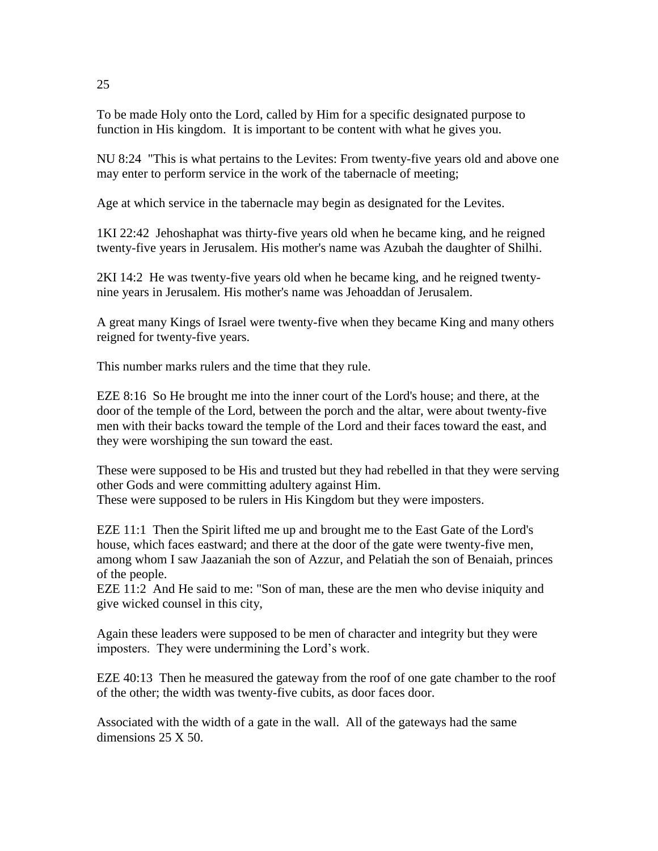To be made Holy onto the Lord, called by Him for a specific designated purpose to function in His kingdom. It is important to be content with what he gives you.

NU 8:24 "This is what pertains to the Levites: From twenty-five years old and above one may enter to perform service in the work of the tabernacle of meeting;

Age at which service in the tabernacle may begin as designated for the Levites.

1KI 22:42 Jehoshaphat was thirty-five years old when he became king, and he reigned twenty-five years in Jerusalem. His mother's name was Azubah the daughter of Shilhi.

2KI 14:2 He was twenty-five years old when he became king, and he reigned twentynine years in Jerusalem. His mother's name was Jehoaddan of Jerusalem.

A great many Kings of Israel were twenty-five when they became King and many others reigned for twenty-five years.

This number marks rulers and the time that they rule.

EZE 8:16 So He brought me into the inner court of the Lord's house; and there, at the door of the temple of the Lord, between the porch and the altar, were about twenty-five men with their backs toward the temple of the Lord and their faces toward the east, and they were worshiping the sun toward the east.

These were supposed to be His and trusted but they had rebelled in that they were serving other Gods and were committing adultery against Him. These were supposed to be rulers in His Kingdom but they were imposters.

EZE 11:1 Then the Spirit lifted me up and brought me to the East Gate of the Lord's house, which faces eastward; and there at the door of the gate were twenty-five men, among whom I saw Jaazaniah the son of Azzur, and Pelatiah the son of Benaiah, princes of the people.

EZE 11:2 And He said to me: "Son of man, these are the men who devise iniquity and give wicked counsel in this city,

Again these leaders were supposed to be men of character and integrity but they were imposters. They were undermining the Lord's work.

EZE 40:13 Then he measured the gateway from the roof of one gate chamber to the roof of the other; the width was twenty-five cubits, as door faces door.

Associated with the width of a gate in the wall. All of the gateways had the same dimensions 25 X 50.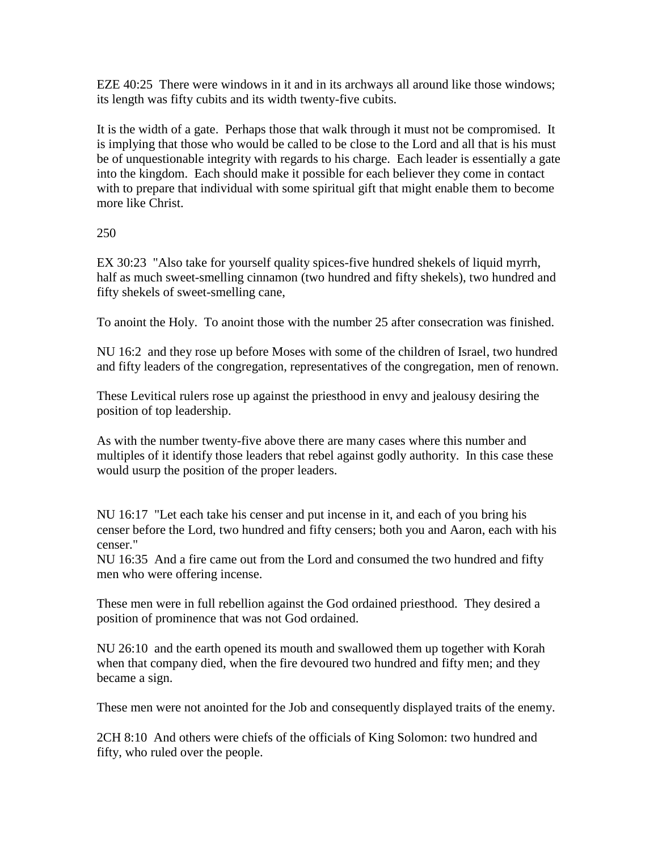EZE 40:25 There were windows in it and in its archways all around like those windows; its length was fifty cubits and its width twenty-five cubits.

It is the width of a gate. Perhaps those that walk through it must not be compromised. It is implying that those who would be called to be close to the Lord and all that is his must be of unquestionable integrity with regards to his charge. Each leader is essentially a gate into the kingdom. Each should make it possible for each believer they come in contact with to prepare that individual with some spiritual gift that might enable them to become more like Christ.

250

EX 30:23 "Also take for yourself quality spices-five hundred shekels of liquid myrrh, half as much sweet-smelling cinnamon (two hundred and fifty shekels), two hundred and fifty shekels of sweet-smelling cane,

To anoint the Holy. To anoint those with the number 25 after consecration was finished.

NU 16:2 and they rose up before Moses with some of the children of Israel, two hundred and fifty leaders of the congregation, representatives of the congregation, men of renown.

These Levitical rulers rose up against the priesthood in envy and jealousy desiring the position of top leadership.

As with the number twenty-five above there are many cases where this number and multiples of it identify those leaders that rebel against godly authority. In this case these would usurp the position of the proper leaders.

NU 16:17 "Let each take his censer and put incense in it, and each of you bring his censer before the Lord, two hundred and fifty censers; both you and Aaron, each with his censer."

NU 16:35 And a fire came out from the Lord and consumed the two hundred and fifty men who were offering incense.

These men were in full rebellion against the God ordained priesthood. They desired a position of prominence that was not God ordained.

NU 26:10 and the earth opened its mouth and swallowed them up together with Korah when that company died, when the fire devoured two hundred and fifty men; and they became a sign.

These men were not anointed for the Job and consequently displayed traits of the enemy.

2CH 8:10 And others were chiefs of the officials of King Solomon: two hundred and fifty, who ruled over the people.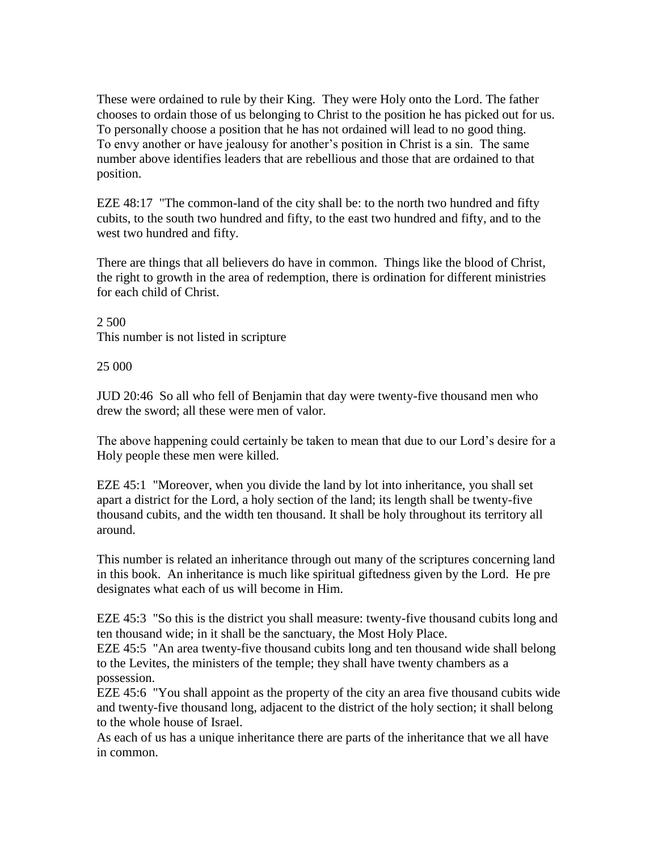These were ordained to rule by their King. They were Holy onto the Lord. The father chooses to ordain those of us belonging to Christ to the position he has picked out for us. To personally choose a position that he has not ordained will lead to no good thing. To envy another or have jealousy for another's position in Christ is a sin. The same number above identifies leaders that are rebellious and those that are ordained to that position.

EZE 48:17 "The common-land of the city shall be: to the north two hundred and fifty cubits, to the south two hundred and fifty, to the east two hundred and fifty, and to the west two hundred and fifty.

There are things that all believers do have in common. Things like the blood of Christ, the right to growth in the area of redemption, there is ordination for different ministries for each child of Christ.

2 500 This number is not listed in scripture

25 000

JUD 20:46 So all who fell of Benjamin that day were twenty-five thousand men who drew the sword; all these were men of valor.

The above happening could certainly be taken to mean that due to our Lord's desire for a Holy people these men were killed.

EZE 45:1 "Moreover, when you divide the land by lot into inheritance, you shall set apart a district for the Lord, a holy section of the land; its length shall be twenty-five thousand cubits, and the width ten thousand. It shall be holy throughout its territory all around.

This number is related an inheritance through out many of the scriptures concerning land in this book. An inheritance is much like spiritual giftedness given by the Lord. He pre designates what each of us will become in Him.

EZE 45:3 "So this is the district you shall measure: twenty-five thousand cubits long and ten thousand wide; in it shall be the sanctuary, the Most Holy Place.

EZE 45:5 "An area twenty-five thousand cubits long and ten thousand wide shall belong to the Levites, the ministers of the temple; they shall have twenty chambers as a possession.

EZE 45:6 "You shall appoint as the property of the city an area five thousand cubits wide and twenty-five thousand long, adjacent to the district of the holy section; it shall belong to the whole house of Israel.

As each of us has a unique inheritance there are parts of the inheritance that we all have in common.